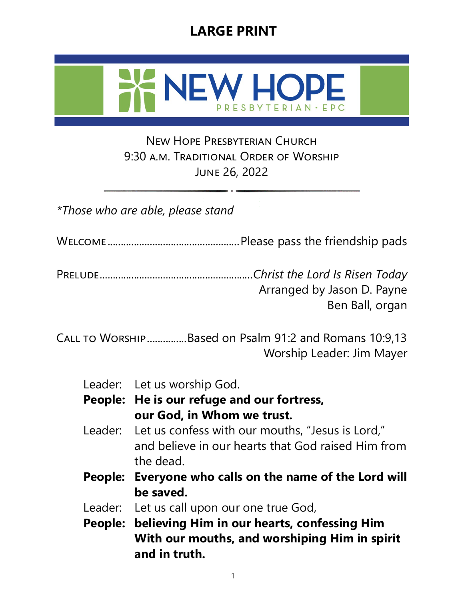# **LARGE PRINT**



### New Hope Presbyterian Church 9:30 a.m. Traditional Order of Worship June 26, 2022

*\*Those who are able, please stand* 

Welcome ..................................................Please pass the friendship pads

Prelude..........................................................*Christ the Lord Is Risen Today* Arranged by Jason D. Payne Ben Ball, organ

Call to Worship...............Based on Psalm 91:2 and Romans 10:9,13 Worship Leader: Jim Mayer

|  |  | Leader: Let us worship God. |  |
|--|--|-----------------------------|--|
|--|--|-----------------------------|--|

- **People: He is our refuge and our fortress, our God, in Whom we trust.**
- Leader: Let us confess with our mouths, "Jesus is Lord," and believe in our hearts that God raised Him from the dead.
- **People: Everyone who calls on the name of the Lord will be saved.**
- Leader: Let us call upon our one true God,
- **People: believing Him in our hearts, confessing Him With our mouths, and worshiping Him in spirit and in truth.**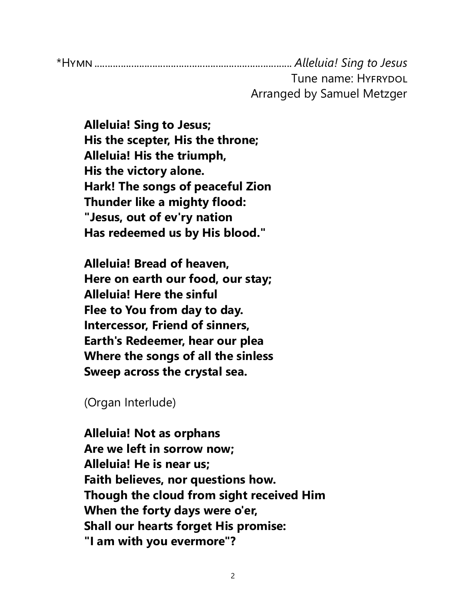\*Hymn........................................................................... *Alleluia! Sing to Jesus* Tune name: HYFRYDOL Arranged by Samuel Metzger

**Alleluia! Sing to Jesus; His the scepter, His the throne; Alleluia! His the triumph, His the victory alone. Hark! The songs of peaceful Zion Thunder like a mighty flood: "Jesus, out of ev'ry nation Has redeemed us by His blood."**

**Alleluia! Bread of heaven, Here on earth our food, our stay; Alleluia! Here the sinful Flee to You from day to day. Intercessor, Friend of sinners, Earth's Redeemer, hear our plea Where the songs of all the sinless Sweep across the crystal sea.**

(Organ Interlude)

**Alleluia! Not as orphans Are we left in sorrow now; Alleluia! He is near us; Faith believes, nor questions how. Though the cloud from sight received Him When the forty days were o'er, Shall our hearts forget His promise: "I am with you evermore"?**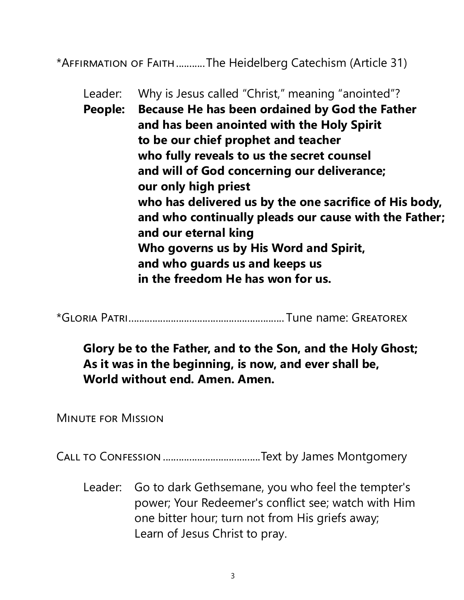\*Affirmation of Faith...........The Heidelberg Catechism (Article 31)

Leader: Why is Jesus called "Christ," meaning "anointed"? **People: Because He has been ordained by God the Father and has been anointed with the Holy Spirit to be our chief prophet and teacher who fully reveals to us the secret counsel and will of God concerning our deliverance; our only high priest who has delivered us by the one sacrifice of His body, and who continually pleads our cause with the Father; and our eternal king Who governs us by His Word and Spirit, and who guards us and keeps us in the freedom He has won for us.** 

\*Gloria Patri........................................................... Tune name: Greatorex

**Glory be to the Father, and to the Son, and the Holy Ghost; As it was in the beginning, is now, and ever shall be, World without end. Amen. Amen.** 

Minute for Mission

Call to Confession.....................................Text by James Montgomery

Leader: Go to dark Gethsemane, you who feel the tempter's power; Your Redeemer's conflict see; watch with Him one bitter hour; turn not from His griefs away; Learn of Jesus Christ to pray.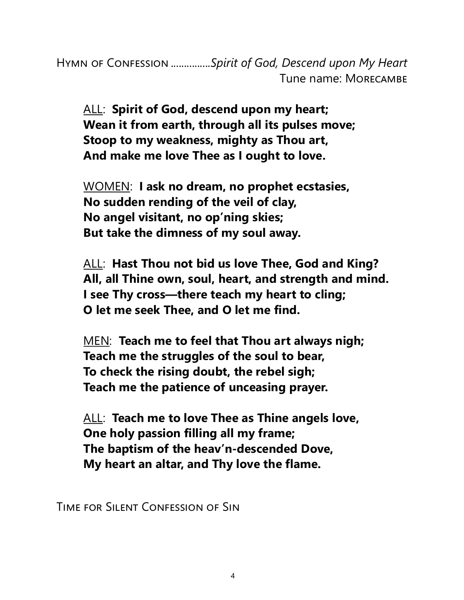Hymn of Confession ...............*Spirit of God, Descend upon My Heart* Tune name: Morecambe

ALL: **Spirit of God, descend upon my heart; Wean it from earth, through all its pulses move; Stoop to my weakness, mighty as Thou art, And make me love Thee as I ought to love.**

WOMEN: **I ask no dream, no prophet ecstasies, No sudden rending of the veil of clay, No angel visitant, no op'ning skies; But take the dimness of my soul away.**

ALL: **Hast Thou not bid us love Thee, God and King? All, all Thine own, soul, heart, and strength and mind. I see Thy cross—there teach my heart to cling; O let me seek Thee, and O let me find.**

MEN: **Teach me to feel that Thou art always nigh; Teach me the struggles of the soul to bear, To check the rising doubt, the rebel sigh; Teach me the patience of unceasing prayer.**

ALL: **Teach me to love Thee as Thine angels love, One holy passion filling all my frame; The baptism of the heav'n-descended Dove, My heart an altar, and Thy love the flame.**

Time for Silent Confession of Sin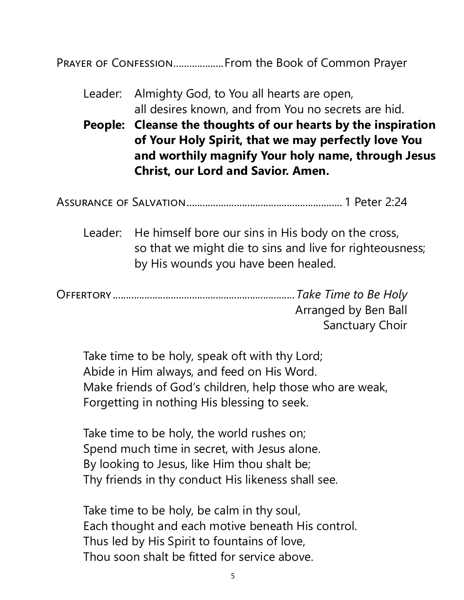Prayer of Confession...................From the Book of Common Prayer

| Leader: Almighty God, to You all hearts are open,   |  |  |
|-----------------------------------------------------|--|--|
| all desires known, and from You no secrets are hid. |  |  |

**People: Cleanse the thoughts of our hearts by the inspiration of Your Holy Spirit, that we may perfectly love You and worthily magnify Your holy name, through Jesus Christ, our Lord and Savior. Amen.** 

Assurance of Salvation........................................................... 1 Peter 2:24

Leader: He himself bore our sins in His body on the cross, so that we might die to sins and live for righteousness; by His wounds you have been healed.

Offertory.....................................................................*Take Time to Be Holy* Arranged by Ben Ball Sanctuary Choir

Take time to be holy, speak oft with thy Lord; Abide in Him always, and feed on His Word. Make friends of God's children, help those who are weak, Forgetting in nothing His blessing to seek.

Take time to be holy, the world rushes on; Spend much time in secret, with Jesus alone. By looking to Jesus, like Him thou shalt be; Thy friends in thy conduct His likeness shall see.

Take time to be holy, be calm in thy soul, Each thought and each motive beneath His control. Thus led by His Spirit to fountains of love, Thou soon shalt be fitted for service above.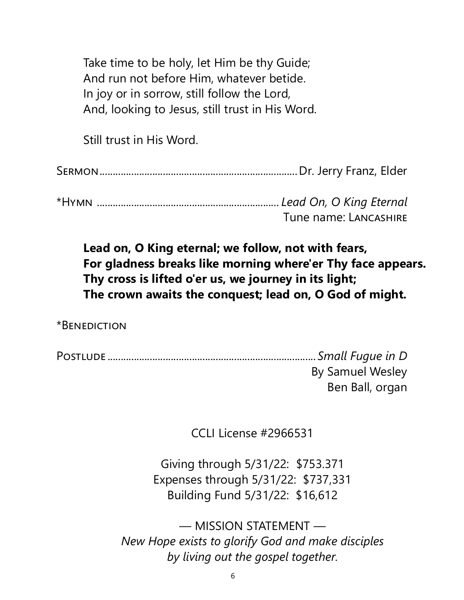Take time to be holy, let Him be thy Guide; And run not before Him, whatever betide. In joy or in sorrow, still follow the Lord, And, looking to Jesus, still trust in His Word.

Still trust in His Word.

Sermon...........................................................................Dr. Jerry Franz, Elder

\*Hymn ..................................................................... *Lead On, O King Eternal* Tune name: Lancashire

**Lead on, O King eternal; we follow, not with fears, For gladness breaks like morning where'er Thy face appears. Thy cross is lifted o'er us, we journey in its light; The crown awaits the conquest; lead on, O God of might.**

\*Benediction

Postlude ............................................................................... *Small Fugue in D* By Samuel Wesley Ben Ball, organ

CCLI License #2966531

Giving through 5/31/22: \$753.371 Expenses through 5/31/22: \$737,331 Building Fund 5/31/22: \$16,612

— MISSION STATEMENT — *New Hope exists to glorify God and make disciples by living out the gospel together.*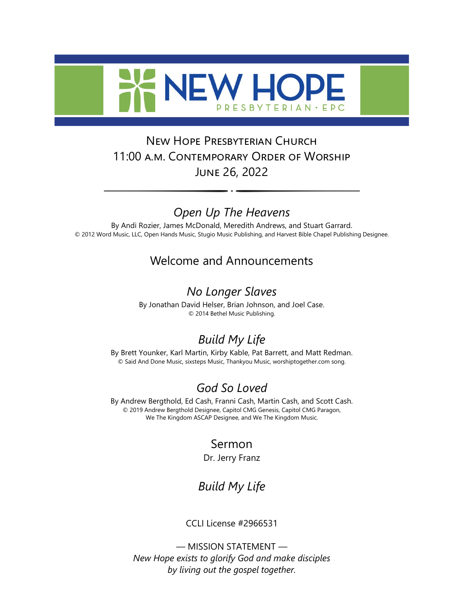

### New Hope Presbyterian Church 11:00 a.m. Contemporary Order of Worship June 26, 2022

### *Open Up The Heavens*

By Andi Rozier, James McDonald, Meredith Andrews, and Stuart Garrard. © 2012 Word Music, LLC, Open Hands Music, Stugio Music Publishing, and Harvest Bible Chapel Publishing Designee.

#### Welcome and Announcements

#### *No Longer Slaves*

By Jonathan David Helser, Brian Johnson, and Joel Case. © 2014 Bethel Music Publishing.

## *Build My Life*

By Brett Younker, Karl Martin, Kirby Kable, Pat Barrett, and Matt Redman. © Said And Done Music, sixsteps Music, Thankyou Music, worshiptogether.com song.

### *God So Loved*

By Andrew Bergthold, Ed Cash, Franni Cash, Martin Cash, and Scott Cash. © 2019 Andrew Bergthold Designee, Capitol CMG Genesis, Capitol CMG Paragon, We The Kingdom ASCAP Designee, and We The Kingdom Music.

### Sermon

Dr. Jerry Franz

### *Build My Life*

CCLI License #2966531

7 *by living out the gospel together.* — MISSION STATEMENT — *New Hope exists to glorify God and make disciples*